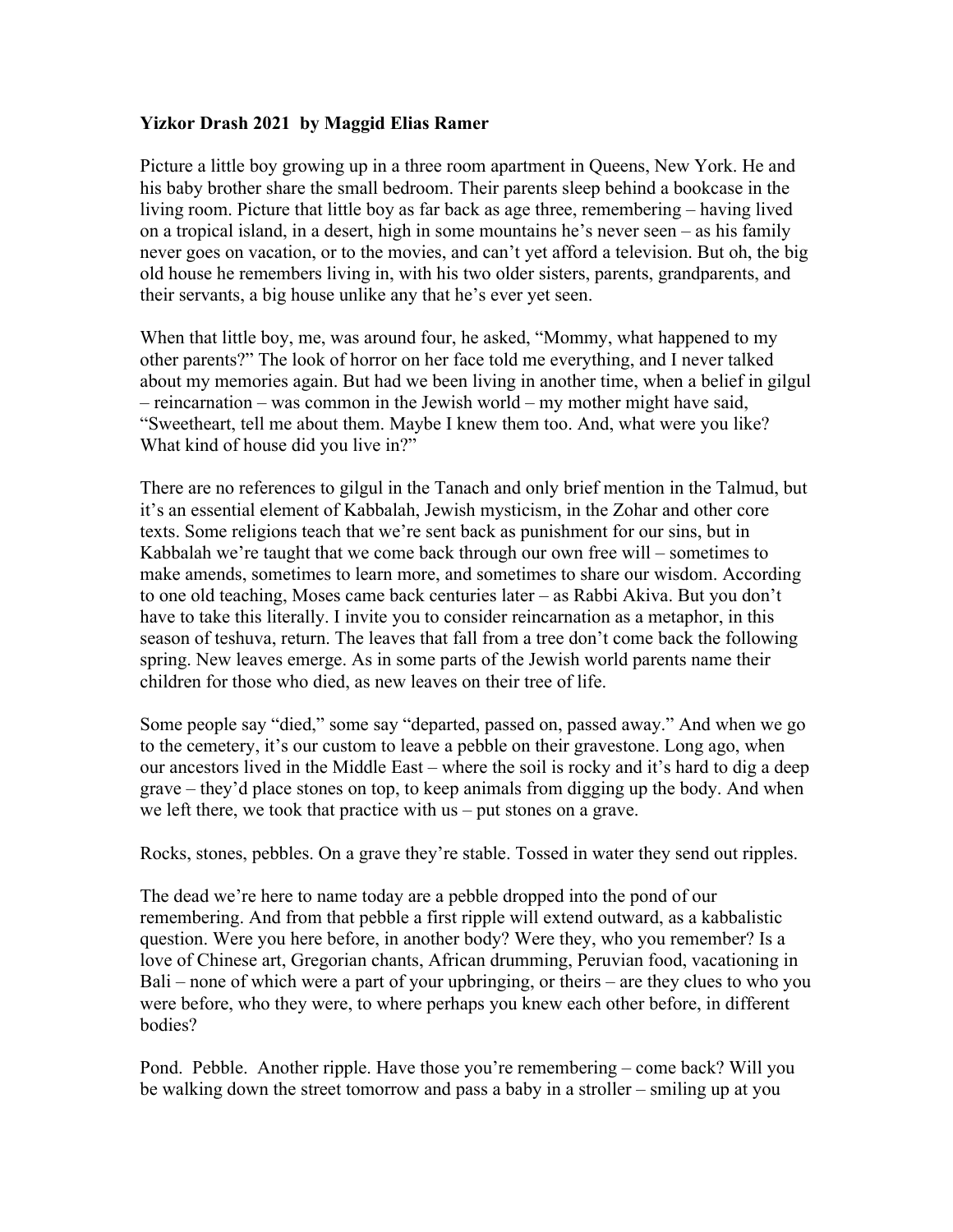# **Yizkor Drash 2021 by Maggid Elias Ramer**

Picture a little boy growing up in a three room apartment in Queens, New York. He and his baby brother share the small bedroom. Their parents sleep behind a bookcase in the living room. Picture that little boy as far back as age three, remembering – having lived on a tropical island, in a desert, high in some mountains he's never seen – as his family never goes on vacation, or to the movies, and can't yet afford a television. But oh, the big old house he remembers living in, with his two older sisters, parents, grandparents, and their servants, a big house unlike any that he's ever yet seen.

When that little boy, me, was around four, he asked, "Mommy, what happened to my other parents?" The look of horror on her face told me everything, and I never talked about my memories again. But had we been living in another time, when a belief in gilgul – reincarnation – was common in the Jewish world – my mother might have said, "Sweetheart, tell me about them. Maybe I knew them too. And, what were you like? What kind of house did you live in?"

There are no references to gilgul in the Tanach and only brief mention in the Talmud, but it's an essential element of Kabbalah, Jewish mysticism, in the Zohar and other core texts. Some religions teach that we're sent back as punishment for our sins, but in Kabbalah we're taught that we come back through our own free will – sometimes to make amends, sometimes to learn more, and sometimes to share our wisdom. According to one old teaching, Moses came back centuries later – as Rabbi Akiva. But you don't have to take this literally. I invite you to consider reincarnation as a metaphor, in this season of teshuva, return. The leaves that fall from a tree don't come back the following spring. New leaves emerge. As in some parts of the Jewish world parents name their children for those who died, as new leaves on their tree of life.

Some people say "died," some say "departed, passed on, passed away." And when we go to the cemetery, it's our custom to leave a pebble on their gravestone. Long ago, when our ancestors lived in the Middle East – where the soil is rocky and it's hard to dig a deep grave – they'd place stones on top, to keep animals from digging up the body. And when we left there, we took that practice with us – put stones on a grave.

Rocks, stones, pebbles. On a grave they're stable. Tossed in water they send out ripples.

The dead we're here to name today are a pebble dropped into the pond of our remembering. And from that pebble a first ripple will extend outward, as a kabbalistic question. Were you here before, in another body? Were they, who you remember? Is a love of Chinese art, Gregorian chants, African drumming, Peruvian food, vacationing in Bali – none of which were a part of your upbringing, or theirs – are they clues to who you were before, who they were, to where perhaps you knew each other before, in different bodies?

Pond. Pebble. Another ripple. Have those you're remembering – come back? Will you be walking down the street tomorrow and pass a baby in a stroller – smiling up at you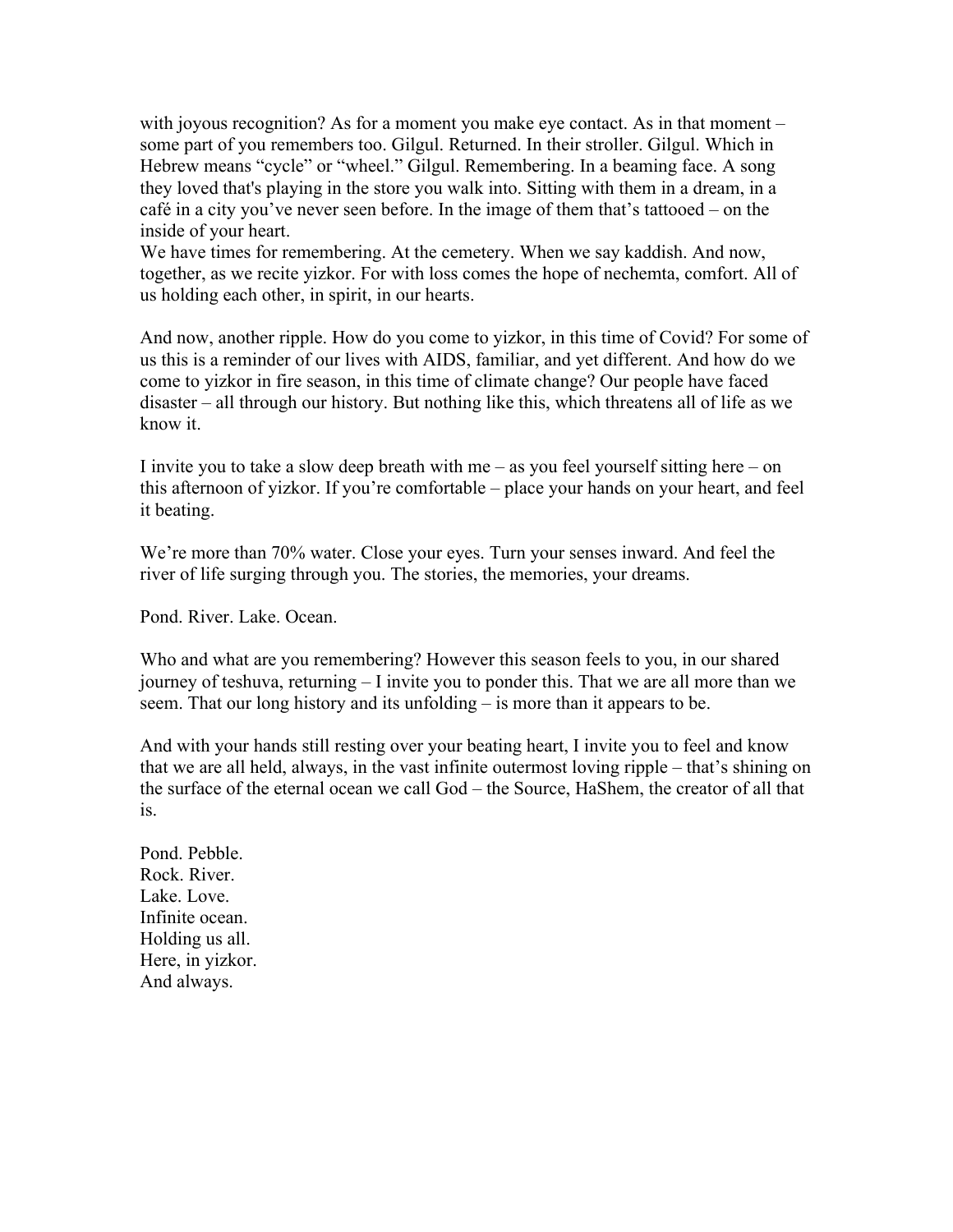with joyous recognition? As for a moment you make eye contact. As in that moment – some part of you remembers too. Gilgul. Returned. In their stroller. Gilgul. Which in Hebrew means "cycle" or "wheel." Gilgul. Remembering. In a beaming face. A song they loved that's playing in the store you walk into. Sitting with them in a dream, in a café in a city you've never seen before. In the image of them that's tattooed – on the inside of your heart.

We have times for remembering. At the cemetery. When we say kaddish. And now, together, as we recite yizkor. For with loss comes the hope of nechemta, comfort. All of us holding each other, in spirit, in our hearts.

And now, another ripple. How do you come to yizkor, in this time of Covid? For some of us this is a reminder of our lives with AIDS, familiar, and yet different. And how do we come to yizkor in fire season, in this time of climate change? Our people have faced disaster – all through our history. But nothing like this, which threatens all of life as we know it.

I invite you to take a slow deep breath with me – as you feel yourself sitting here – on this afternoon of yizkor. If you're comfortable – place your hands on your heart, and feel it beating.

We're more than 70% water. Close your eyes. Turn your senses inward. And feel the river of life surging through you. The stories, the memories, your dreams.

Pond. River. Lake. Ocean.

Who and what are you remembering? However this season feels to you, in our shared journey of teshuva, returning – I invite you to ponder this. That we are all more than we seem. That our long history and its unfolding – is more than it appears to be.

And with your hands still resting over your beating heart, I invite you to feel and know that we are all held, always, in the vast infinite outermost loving ripple – that's shining on the surface of the eternal ocean we call God – the Source, HaShem, the creator of all that is.

Pond. Pebble. Rock. River. Lake. Love. Infinite ocean. Holding us all. Here, in yizkor. And always.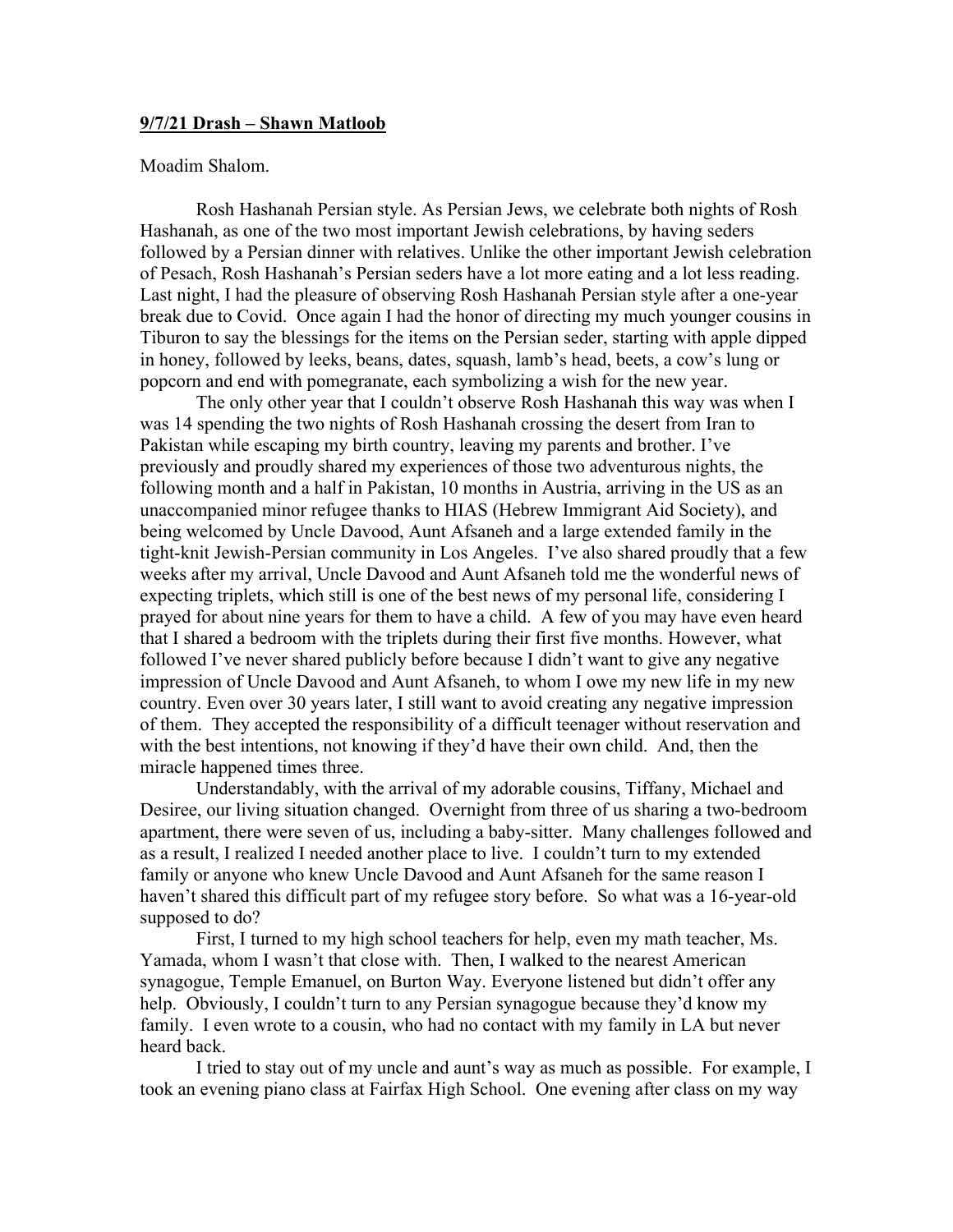## **9/7/21 Drash – Shawn Matloob**

## Moadim Shalom.

Rosh Hashanah Persian style. As Persian Jews, we celebrate both nights of Rosh Hashanah, as one of the two most important Jewish celebrations, by having seders followed by a Persian dinner with relatives. Unlike the other important Jewish celebration of Pesach, Rosh Hashanah's Persian seders have a lot more eating and a lot less reading. Last night, I had the pleasure of observing Rosh Hashanah Persian style after a one-year break due to Covid. Once again I had the honor of directing my much younger cousins in Tiburon to say the blessings for the items on the Persian seder, starting with apple dipped in honey, followed by leeks, beans, dates, squash, lamb's head, beets, a cow's lung or popcorn and end with pomegranate, each symbolizing a wish for the new year.

The only other year that I couldn't observe Rosh Hashanah this way was when I was 14 spending the two nights of Rosh Hashanah crossing the desert from Iran to Pakistan while escaping my birth country, leaving my parents and brother. I've previously and proudly shared my experiences of those two adventurous nights, the following month and a half in Pakistan, 10 months in Austria, arriving in the US as an unaccompanied minor refugee thanks to HIAS (Hebrew Immigrant Aid Society), and being welcomed by Uncle Davood, Aunt Afsaneh and a large extended family in the tight-knit Jewish-Persian community in Los Angeles. I've also shared proudly that a few weeks after my arrival, Uncle Davood and Aunt Afsaneh told me the wonderful news of expecting triplets, which still is one of the best news of my personal life, considering I prayed for about nine years for them to have a child. A few of you may have even heard that I shared a bedroom with the triplets during their first five months. However, what followed I've never shared publicly before because I didn't want to give any negative impression of Uncle Davood and Aunt Afsaneh, to whom I owe my new life in my new country. Even over 30 years later, I still want to avoid creating any negative impression of them. They accepted the responsibility of a difficult teenager without reservation and with the best intentions, not knowing if they'd have their own child. And, then the miracle happened times three.

Understandably, with the arrival of my adorable cousins, Tiffany, Michael and Desiree, our living situation changed. Overnight from three of us sharing a two-bedroom apartment, there were seven of us, including a baby-sitter. Many challenges followed and as a result, I realized I needed another place to live. I couldn't turn to my extended family or anyone who knew Uncle Davood and Aunt Afsaneh for the same reason I haven't shared this difficult part of my refugee story before. So what was a 16-year-old supposed to do?

First, I turned to my high school teachers for help, even my math teacher, Ms. Yamada, whom I wasn't that close with. Then, I walked to the nearest American synagogue, Temple Emanuel, on Burton Way. Everyone listened but didn't offer any help. Obviously, I couldn't turn to any Persian synagogue because they'd know my family. I even wrote to a cousin, who had no contact with my family in LA but never heard back.

I tried to stay out of my uncle and aunt's way as much as possible. For example, I took an evening piano class at Fairfax High School. One evening after class on my way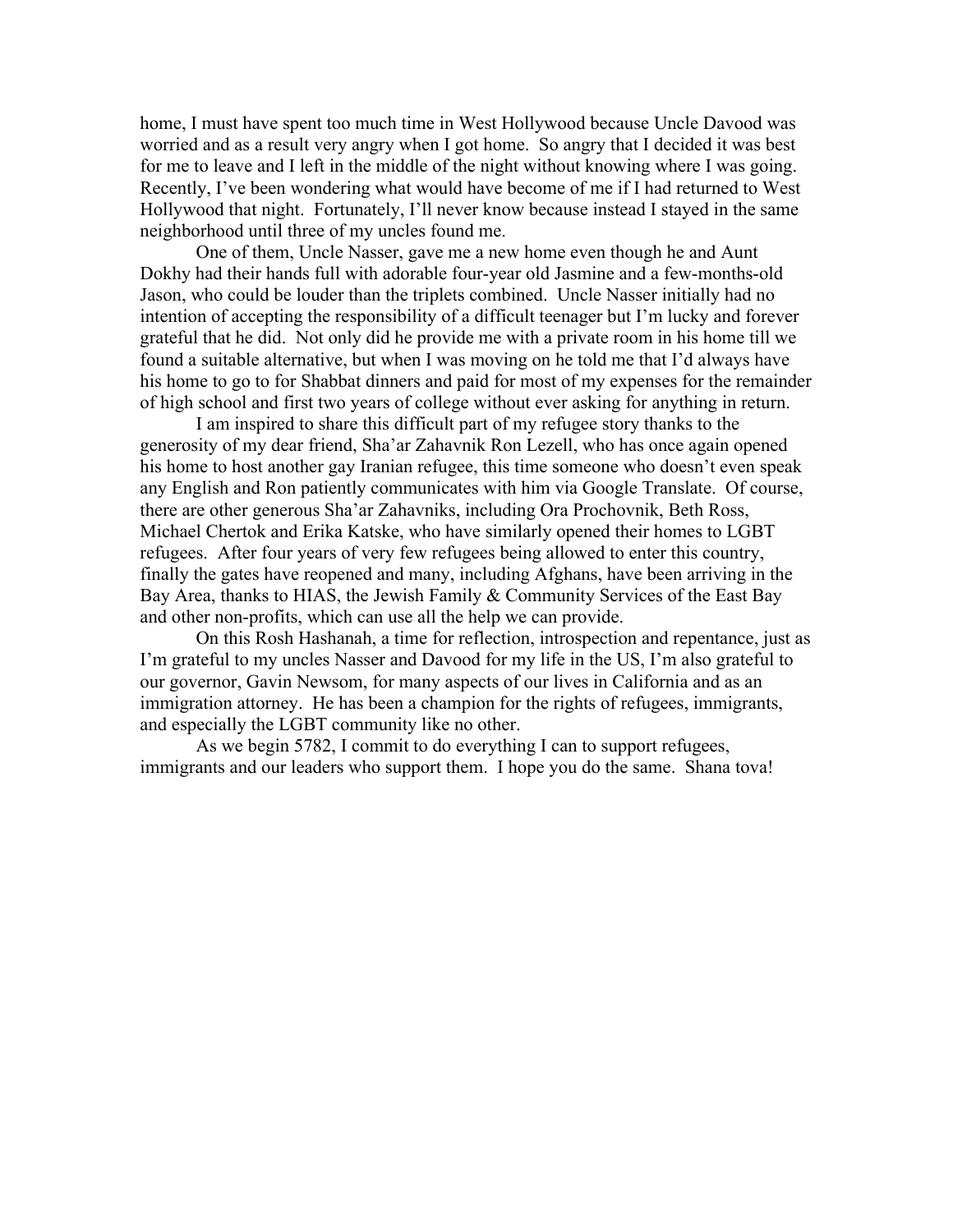home, I must have spent too much time in West Hollywood because Uncle Davood was worried and as a result very angry when I got home. So angry that I decided it was best for me to leave and I left in the middle of the night without knowing where I was going. Recently, I've been wondering what would have become of me if I had returned to West Hollywood that night. Fortunately, I'll never know because instead I stayed in the same neighborhood until three of my uncles found me.

One of them, Uncle Nasser, gave me a new home even though he and Aunt Dokhy had their hands full with adorable four-year old Jasmine and a few-months-old Jason, who could be louder than the triplets combined. Uncle Nasser initially had no intention of accepting the responsibility of a difficult teenager but I'm lucky and forever grateful that he did. Not only did he provide me with a private room in his home till we found a suitable alternative, but when I was moving on he told me that I'd always have his home to go to for Shabbat dinners and paid for most of my expenses for the remainder of high school and first two years of college without ever asking for anything in return.

I am inspired to share this difficult part of my refugee story thanks to the generosity of my dear friend, Sha'ar Zahavnik Ron Lezell, who has once again opened his home to host another gay Iranian refugee, this time someone who doesn't even speak any English and Ron patiently communicates with him via Google Translate. Of course, there are other generous Sha'ar Zahavniks, including Ora Prochovnik, Beth Ross, Michael Chertok and Erika Katske, who have similarly opened their homes to LGBT refugees. After four years of very few refugees being allowed to enter this country, finally the gates have reopened and many, including Afghans, have been arriving in the Bay Area, thanks to HIAS, the Jewish Family & Community Services of the East Bay and other non-profits, which can use all the help we can provide.

On this Rosh Hashanah, a time for reflection, introspection and repentance, just as I'm grateful to my uncles Nasser and Davood for my life in the US, I'm also grateful to our governor, Gavin Newsom, for many aspects of our lives in California and as an immigration attorney. He has been a champion for the rights of refugees, immigrants, and especially the LGBT community like no other.

As we begin 5782, I commit to do everything I can to support refugees, immigrants and our leaders who support them. I hope you do the same. Shana tova!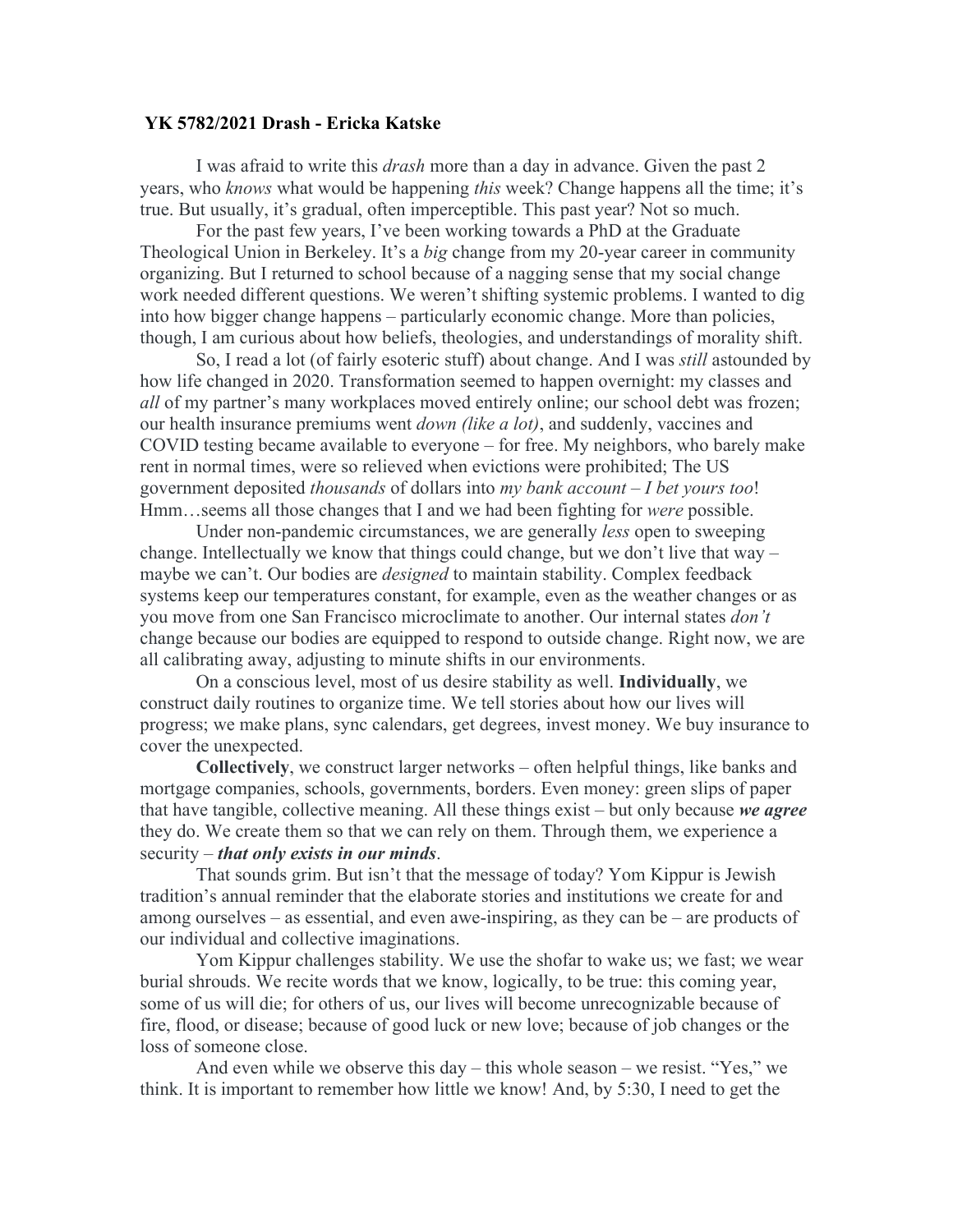## **YK 5782/2021 Drash - Ericka Katske**

I was afraid to write this *drash* more than a day in advance. Given the past 2 years, who *knows* what would be happening *this* week? Change happens all the time; it's true. But usually, it's gradual, often imperceptible. This past year? Not so much.

For the past few years, I've been working towards a PhD at the Graduate Theological Union in Berkeley. It's a *big* change from my 20-year career in community organizing. But I returned to school because of a nagging sense that my social change work needed different questions. We weren't shifting systemic problems. I wanted to dig into how bigger change happens – particularly economic change. More than policies, though, I am curious about how beliefs, theologies, and understandings of morality shift.

So, I read a lot (of fairly esoteric stuff) about change. And I was *still* astounded by how life changed in 2020. Transformation seemed to happen overnight: my classes and *all* of my partner's many workplaces moved entirely online; our school debt was frozen; our health insurance premiums went *down (like a lot)*, and suddenly, vaccines and COVID testing became available to everyone – for free. My neighbors, who barely make rent in normal times, were so relieved when evictions were prohibited; The US government deposited *thousands* of dollars into *my bank account – I bet yours too*! Hmm…seems all those changes that I and we had been fighting for *were* possible.

Under non-pandemic circumstances, we are generally *less* open to sweeping change. Intellectually we know that things could change, but we don't live that way – maybe we can't. Our bodies are *designed* to maintain stability. Complex feedback systems keep our temperatures constant, for example, even as the weather changes or as you move from one San Francisco microclimate to another. Our internal states *don't*  change because our bodies are equipped to respond to outside change. Right now, we are all calibrating away, adjusting to minute shifts in our environments.

On a conscious level, most of us desire stability as well. **Individually**, we construct daily routines to organize time. We tell stories about how our lives will progress; we make plans, sync calendars, get degrees, invest money. We buy insurance to cover the unexpected.

**Collectively**, we construct larger networks – often helpful things, like banks and mortgage companies, schools, governments, borders. Even money: green slips of paper that have tangible, collective meaning. All these things exist – but only because *we agree* they do. We create them so that we can rely on them. Through them, we experience a security – *that only exists in our minds*.

That sounds grim. But isn't that the message of today? Yom Kippur is Jewish tradition's annual reminder that the elaborate stories and institutions we create for and among ourselves – as essential, and even awe-inspiring, as they can be – are products of our individual and collective imaginations.

Yom Kippur challenges stability. We use the shofar to wake us; we fast; we wear burial shrouds. We recite words that we know, logically, to be true: this coming year, some of us will die; for others of us, our lives will become unrecognizable because of fire, flood, or disease; because of good luck or new love; because of job changes or the loss of someone close.

And even while we observe this day – this whole season – we resist. "Yes," we think. It is important to remember how little we know! And, by 5:30, I need to get the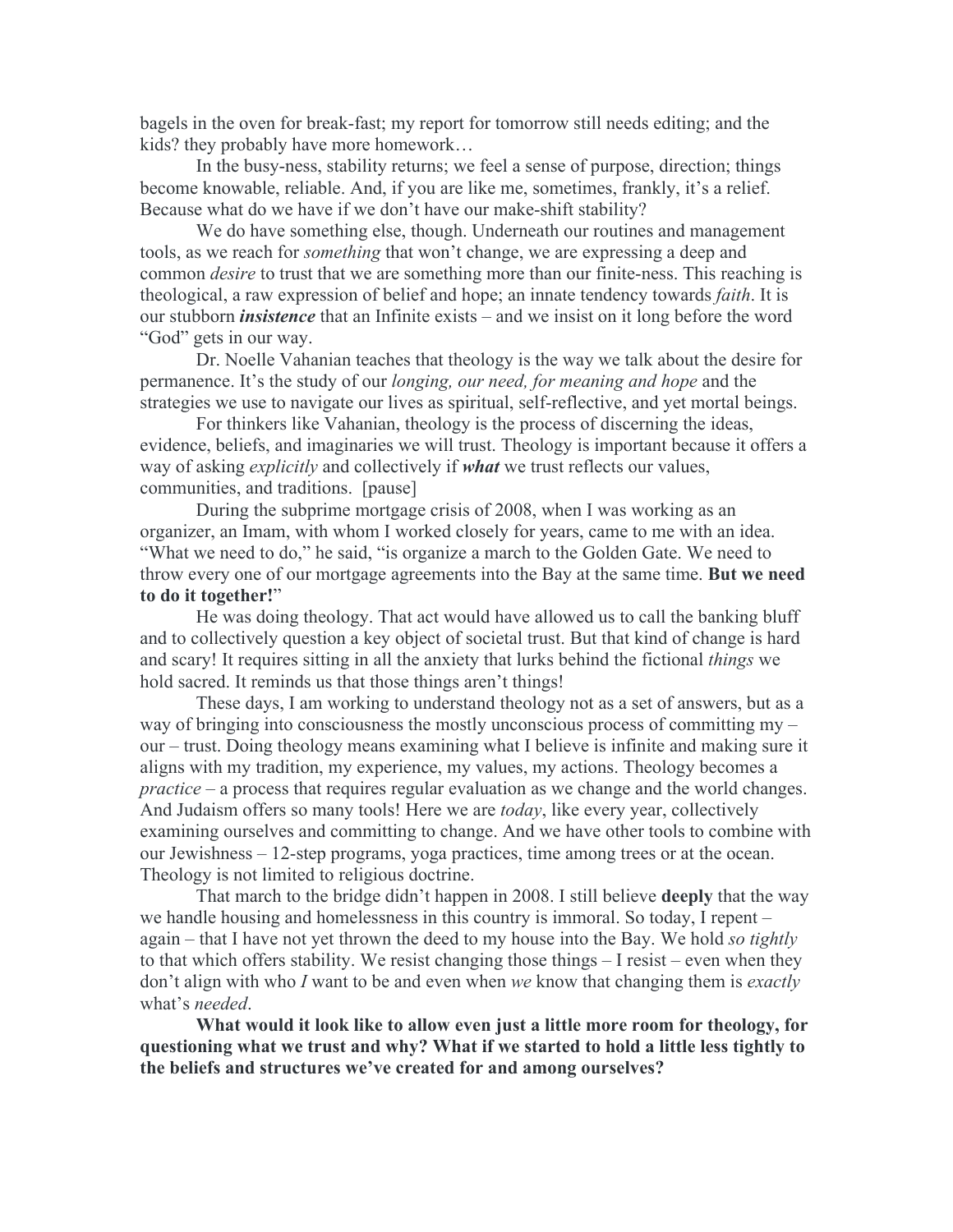bagels in the oven for break-fast; my report for tomorrow still needs editing; and the kids? they probably have more homework…

In the busy-ness, stability returns; we feel a sense of purpose, direction; things become knowable, reliable. And, if you are like me, sometimes, frankly, it's a relief. Because what do we have if we don't have our make-shift stability?

We do have something else, though. Underneath our routines and management tools, as we reach for *something* that won't change, we are expressing a deep and common *desire* to trust that we are something more than our finite-ness. This reaching is theological, a raw expression of belief and hope; an innate tendency towards *faith*. It is our stubborn *insistence* that an Infinite exists – and we insist on it long before the word "God" gets in our way.

Dr. Noelle Vahanian teaches that theology is the way we talk about the desire for permanence. It's the study of our *longing, our need, for meaning and hope* and the strategies we use to navigate our lives as spiritual, self-reflective, and yet mortal beings.

For thinkers like Vahanian, theology is the process of discerning the ideas, evidence, beliefs, and imaginaries we will trust. Theology is important because it offers a way of asking *explicitly* and collectively if *what* we trust reflects our values, communities, and traditions. [pause]

During the subprime mortgage crisis of 2008, when I was working as an organizer, an Imam, with whom I worked closely for years, came to me with an idea. "What we need to do," he said, "is organize a march to the Golden Gate. We need to throw every one of our mortgage agreements into the Bay at the same time. **But we need to do it together!**"

He was doing theology. That act would have allowed us to call the banking bluff and to collectively question a key object of societal trust. But that kind of change is hard and scary! It requires sitting in all the anxiety that lurks behind the fictional *things* we hold sacred. It reminds us that those things aren't things!

These days, I am working to understand theology not as a set of answers, but as a way of bringing into consciousness the mostly unconscious process of committing my – our – trust. Doing theology means examining what I believe is infinite and making sure it aligns with my tradition, my experience, my values, my actions. Theology becomes a *practice* – a process that requires regular evaluation as we change and the world changes. And Judaism offers so many tools! Here we are *today*, like every year, collectively examining ourselves and committing to change. And we have other tools to combine with our Jewishness – 12-step programs, yoga practices, time among trees or at the ocean. Theology is not limited to religious doctrine.

That march to the bridge didn't happen in 2008. I still believe **deeply** that the way we handle housing and homelessness in this country is immoral. So today, I repent – again – that I have not yet thrown the deed to my house into the Bay. We hold *so tightly* to that which offers stability. We resist changing those things – I resist – even when they don't align with who *I* want to be and even when *we* know that changing them is *exactly*  what's *needed*.

**What would it look like to allow even just a little more room for theology, for questioning what we trust and why? What if we started to hold a little less tightly to the beliefs and structures we've created for and among ourselves?**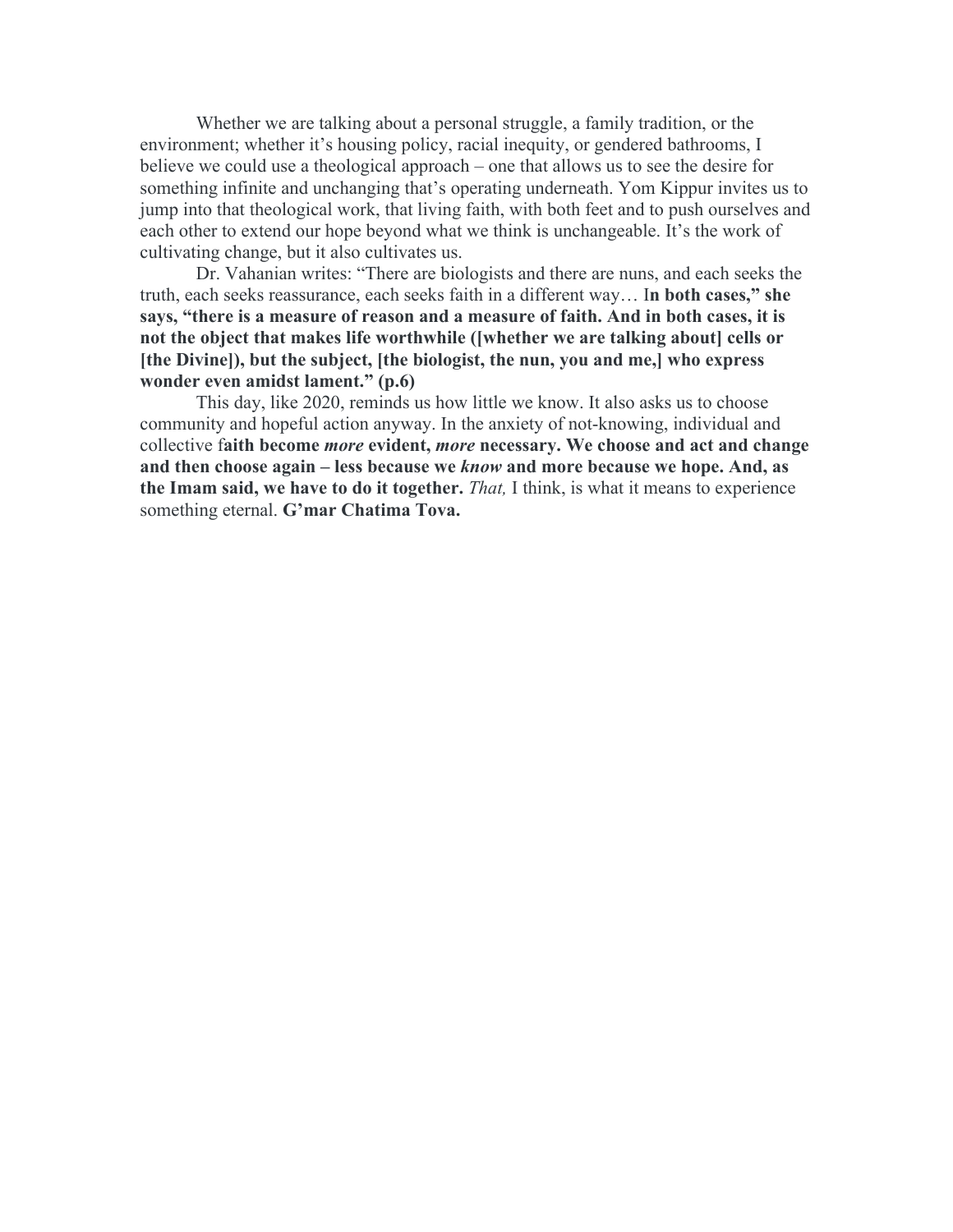Whether we are talking about a personal struggle, a family tradition, or the environment; whether it's housing policy, racial inequity, or gendered bathrooms, I believe we could use a theological approach – one that allows us to see the desire for something infinite and unchanging that's operating underneath. Yom Kippur invites us to jump into that theological work, that living faith, with both feet and to push ourselves and each other to extend our hope beyond what we think is unchangeable. It's the work of cultivating change, but it also cultivates us.

Dr. Vahanian writes: "There are biologists and there are nuns, and each seeks the truth, each seeks reassurance, each seeks faith in a different way… I**n both cases," she says, "there is a measure of reason and a measure of faith. And in both cases, it is not the object that makes life worthwhile ([whether we are talking about] cells or [the Divine]), but the subject, [the biologist, the nun, you and me,] who express wonder even amidst lament." (p.6)**

This day, like 2020, reminds us how little we know. It also asks us to choose community and hopeful action anyway. In the anxiety of not-knowing, individual and collective f**aith become** *more* **evident,** *more* **necessary. We choose and act and change and then choose again – less because we** *know* **and more because we hope. And, as the Imam said, we have to do it together.** *That,* I think, is what it means to experience something eternal. **G'mar Chatima Tova.**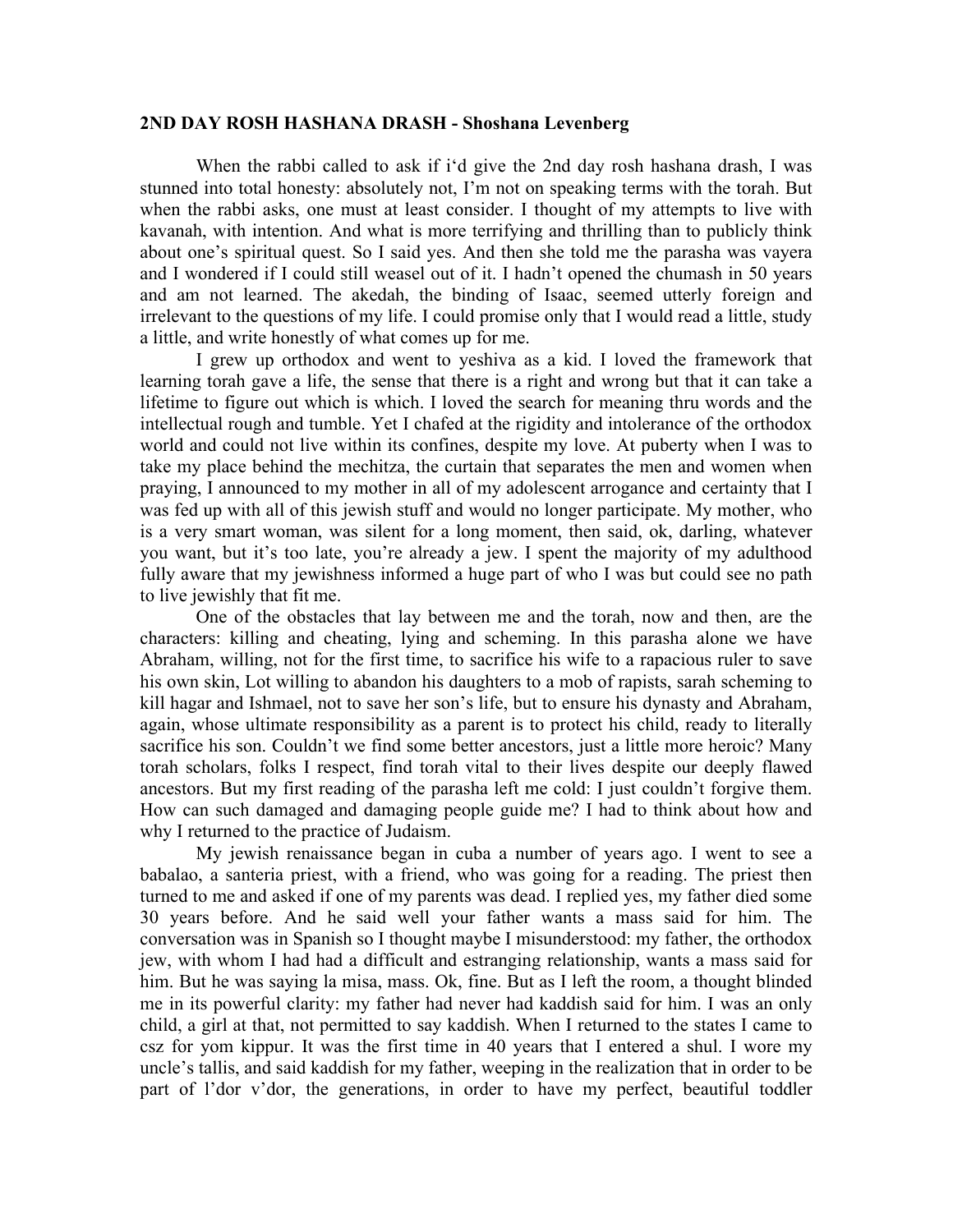## **2ND DAY ROSH HASHANA DRASH - Shoshana Levenberg**

When the rabbi called to ask if i'd give the 2nd day rosh hashana drash, I was stunned into total honesty: absolutely not, I'm not on speaking terms with the torah. But when the rabbi asks, one must at least consider. I thought of my attempts to live with kavanah, with intention. And what is more terrifying and thrilling than to publicly think about one's spiritual quest. So I said yes. And then she told me the parasha was vayera and I wondered if I could still weasel out of it. I hadn't opened the chumash in 50 years and am not learned. The akedah, the binding of Isaac, seemed utterly foreign and irrelevant to the questions of my life. I could promise only that I would read a little, study a little, and write honestly of what comes up for me.

I grew up orthodox and went to yeshiva as a kid. I loved the framework that learning torah gave a life, the sense that there is a right and wrong but that it can take a lifetime to figure out which is which. I loved the search for meaning thru words and the intellectual rough and tumble. Yet I chafed at the rigidity and intolerance of the orthodox world and could not live within its confines, despite my love. At puberty when I was to take my place behind the mechitza, the curtain that separates the men and women when praying, I announced to my mother in all of my adolescent arrogance and certainty that I was fed up with all of this jewish stuff and would no longer participate. My mother, who is a very smart woman, was silent for a long moment, then said, ok, darling, whatever you want, but it's too late, you're already a jew. I spent the majority of my adulthood fully aware that my jewishness informed a huge part of who I was but could see no path to live jewishly that fit me.

One of the obstacles that lay between me and the torah, now and then, are the characters: killing and cheating, lying and scheming. In this parasha alone we have Abraham, willing, not for the first time, to sacrifice his wife to a rapacious ruler to save his own skin, Lot willing to abandon his daughters to a mob of rapists, sarah scheming to kill hagar and Ishmael, not to save her son's life, but to ensure his dynasty and Abraham, again, whose ultimate responsibility as a parent is to protect his child, ready to literally sacrifice his son. Couldn't we find some better ancestors, just a little more heroic? Many torah scholars, folks I respect, find torah vital to their lives despite our deeply flawed ancestors. But my first reading of the parasha left me cold: I just couldn't forgive them. How can such damaged and damaging people guide me? I had to think about how and why I returned to the practice of Judaism.

My jewish renaissance began in cuba a number of years ago. I went to see a babalao, a santeria priest, with a friend, who was going for a reading. The priest then turned to me and asked if one of my parents was dead. I replied yes, my father died some 30 years before. And he said well your father wants a mass said for him. The conversation was in Spanish so I thought maybe I misunderstood: my father, the orthodox jew, with whom I had had a difficult and estranging relationship, wants a mass said for him. But he was saying la misa, mass. Ok, fine. But as I left the room, a thought blinded me in its powerful clarity: my father had never had kaddish said for him. I was an only child, a girl at that, not permitted to say kaddish. When I returned to the states I came to csz for yom kippur. It was the first time in 40 years that I entered a shul. I wore my uncle's tallis, and said kaddish for my father, weeping in the realization that in order to be part of l'dor v'dor, the generations, in order to have my perfect, beautiful toddler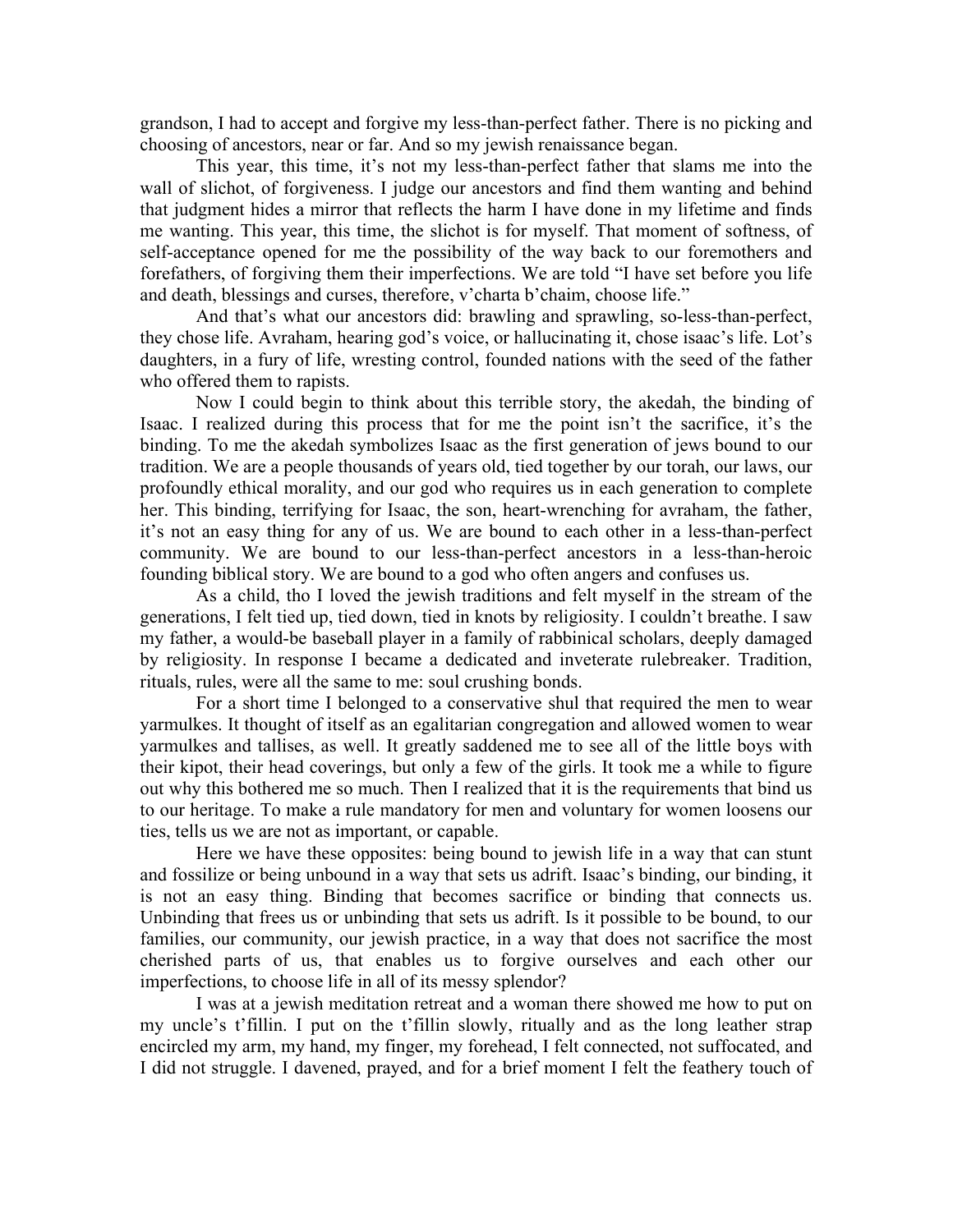grandson, I had to accept and forgive my less-than-perfect father. There is no picking and choosing of ancestors, near or far. And so my jewish renaissance began.

This year, this time, it's not my less-than-perfect father that slams me into the wall of slichot, of forgiveness. I judge our ancestors and find them wanting and behind that judgment hides a mirror that reflects the harm I have done in my lifetime and finds me wanting. This year, this time, the slichot is for myself. That moment of softness, of self-acceptance opened for me the possibility of the way back to our foremothers and forefathers, of forgiving them their imperfections. We are told "I have set before you life and death, blessings and curses, therefore, v'charta b'chaim, choose life."

And that's what our ancestors did: brawling and sprawling, so-less-than-perfect, they chose life. Avraham, hearing god's voice, or hallucinating it, chose isaac's life. Lot's daughters, in a fury of life, wresting control, founded nations with the seed of the father who offered them to rapists.

Now I could begin to think about this terrible story, the akedah, the binding of Isaac. I realized during this process that for me the point isn't the sacrifice, it's the binding. To me the akedah symbolizes Isaac as the first generation of jews bound to our tradition. We are a people thousands of years old, tied together by our torah, our laws, our profoundly ethical morality, and our god who requires us in each generation to complete her. This binding, terrifying for Isaac, the son, heart-wrenching for avraham, the father, it's not an easy thing for any of us. We are bound to each other in a less-than-perfect community. We are bound to our less-than-perfect ancestors in a less-than-heroic founding biblical story. We are bound to a god who often angers and confuses us.

As a child, tho I loved the jewish traditions and felt myself in the stream of the generations, I felt tied up, tied down, tied in knots by religiosity. I couldn't breathe. I saw my father, a would-be baseball player in a family of rabbinical scholars, deeply damaged by religiosity. In response I became a dedicated and inveterate rulebreaker. Tradition, rituals, rules, were all the same to me: soul crushing bonds.

For a short time I belonged to a conservative shul that required the men to wear yarmulkes. It thought of itself as an egalitarian congregation and allowed women to wear yarmulkes and tallises, as well. It greatly saddened me to see all of the little boys with their kipot, their head coverings, but only a few of the girls. It took me a while to figure out why this bothered me so much. Then I realized that it is the requirements that bind us to our heritage. To make a rule mandatory for men and voluntary for women loosens our ties, tells us we are not as important, or capable.

Here we have these opposites: being bound to jewish life in a way that can stunt and fossilize or being unbound in a way that sets us adrift. Isaac's binding, our binding, it is not an easy thing. Binding that becomes sacrifice or binding that connects us. Unbinding that frees us or unbinding that sets us adrift. Is it possible to be bound, to our families, our community, our jewish practice, in a way that does not sacrifice the most cherished parts of us, that enables us to forgive ourselves and each other our imperfections, to choose life in all of its messy splendor?

I was at a jewish meditation retreat and a woman there showed me how to put on my uncle's t'fillin. I put on the t'fillin slowly, ritually and as the long leather strap encircled my arm, my hand, my finger, my forehead, I felt connected, not suffocated, and I did not struggle. I davened, prayed, and for a brief moment I felt the feathery touch of